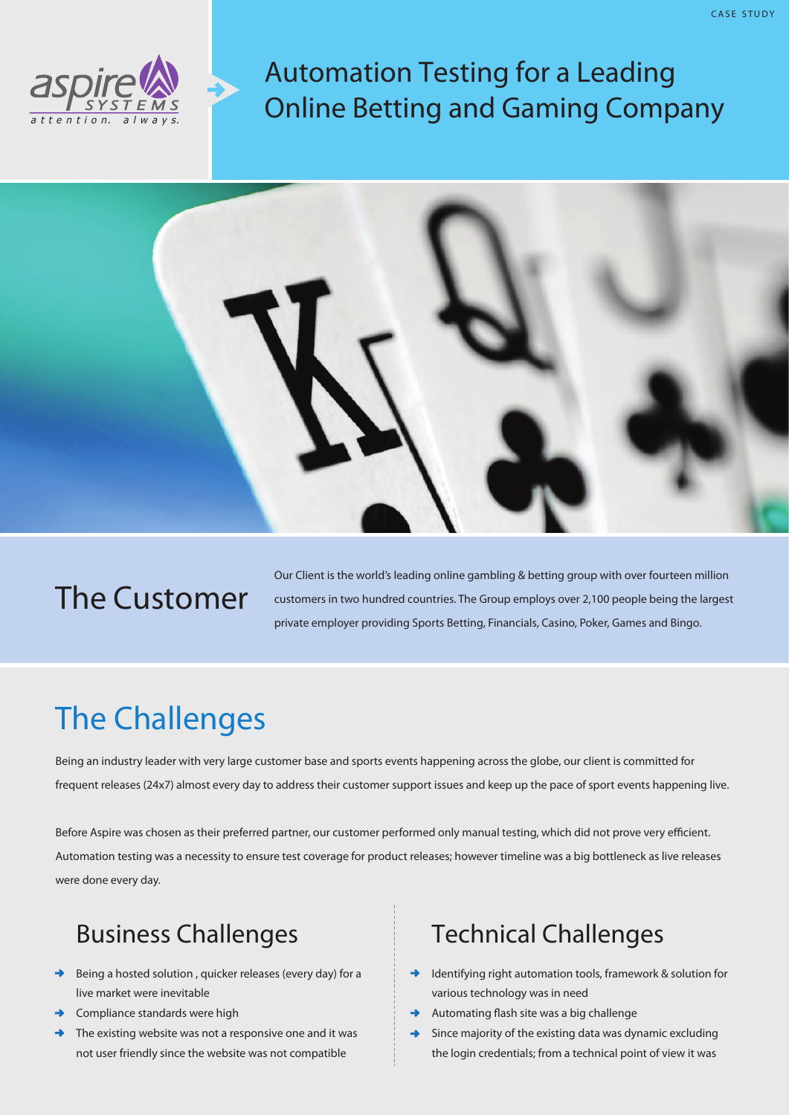

Automation Testing for a Leading **Online Betting and Gaming Company** 



# The Customer

Our Client is the world's leading online gambling & betting group with over fourteen million customers in two hundred countries. The Group employs over 2,100 people being the largest private employer providing Sports Betting, Financials, Casino, Poker, Games and Bingo.

# The Challenges

Being an industry leader with very large customer base and sports events happening across the globe, our client is committed for frequent releases (24x7) almost every day to address their customer support issues and keep up the pace of sport events happening live.

Before Aspire was chosen as their preferred partner, our customer performed only manual testing, which did not prove very efficient. Automation testing was a necessity to ensure test coverage for product releases; however timeline was a big bottleneck as live releases were done every day.

## Business Challenges

- Being a hosted solution , quicker releases (every day) for a live market were inevitable
- Compliance standards were high
- $\rightarrow$ The existing website was not a responsive one and it was not user friendly since the website was not compatible

# Technical Challenges

- Identifying right automation tools, framework & solution for various technology was in need
- Automating flash site was a big challenge
- $\rightarrow$ Since majority of the existing data was dynamic excluding the login credentials; from a technical point of view it was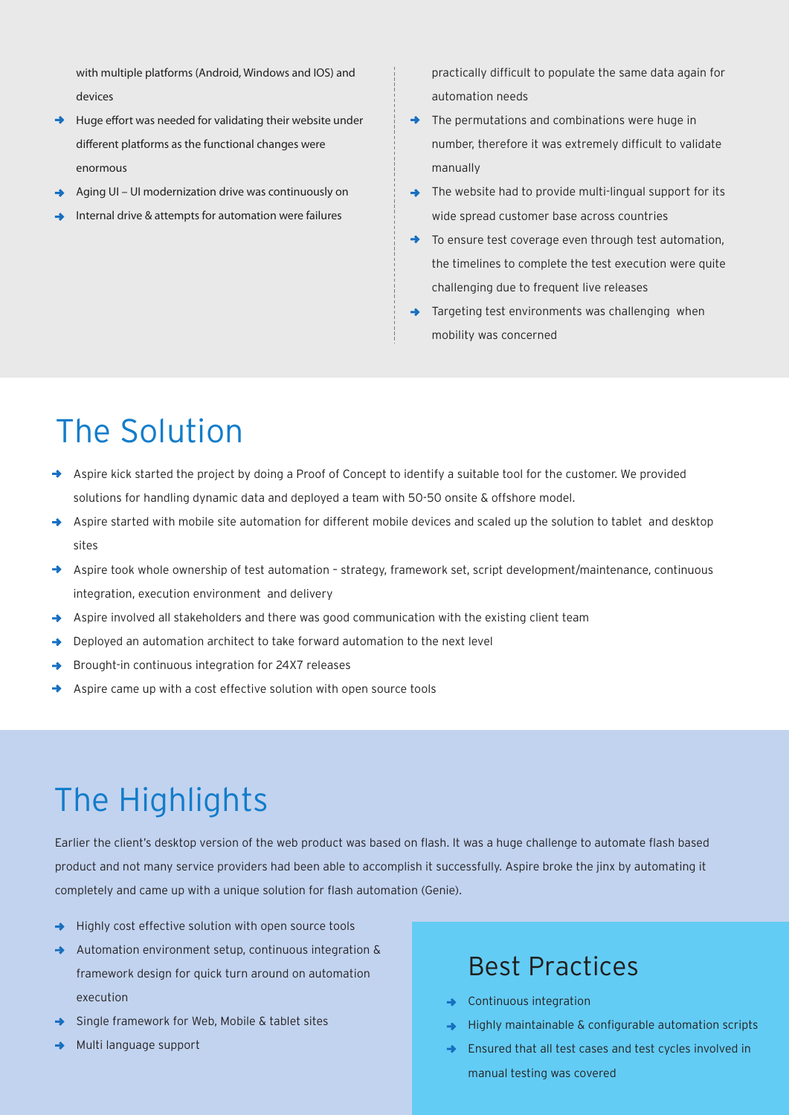with multiple platforms (Android, Windows and IOS) and devices

- Huge effort was needed for validating their website under  $\rightarrow$ different platforms as the functional changes were enormous
- Aging UI UI modernization drive was continuously on
- Internal drive & attempts for automation were failures

practically difficult to populate the same data again for automation needs

- $\rightarrow$  The permutations and combinations were huge in number, therefore it was extremely difficult to validate manually
- ◆ The website had to provide multi-lingual support for its wide spread customer base across countries
- $\rightarrow$  To ensure test coverage even through test automation, the timelines to complete the test execution were quite challenging due to frequent live releases
- → Targeting test environments was challenging when mobility was concerned

# The Solution

- Aspire kick started the project by doing a Proof of Concept to identify a suitable tool for the customer. We provided solutions for handling dynamic data and deployed a team with 50-50 onsite & offshore model.
- Aspire started with mobile site automation for different mobile devices and scaled up the solution to tablet and desktop sites
- → Aspire took whole ownership of test automation strategy, framework set, script development/maintenance, continuous integration, execution environment and delivery
- Aspire involved all stakeholders and there was good communication with the existing client team ÷.
- Deployed an automation architect to take forward automation to the next level
- Brought-in continuous integration for 24X7 releases
- Aspire came up with a cost effective solution with open source tools

# The Highlights

Earlier the client's desktop version of the web product was based on flash. It was a huge challenge to automate flash based product and not many service providers had been able to accomplish it successfully. Aspire broke the jinx by automating it completely and came up with a unique solution for flash automation (Genie).

- Highly cost effective solution with open source tools  $\blacktriangle$
- Automation environment setup, continuous integration & framework design for quick turn around on automation execution
- Single framework for Web, Mobile & tablet sites
- Multi language support

### Best Practices

- Continuous integration
- Highly maintainable & configurable automation scripts
- Ensured that all test cases and test cycles involved in manual testing was covered